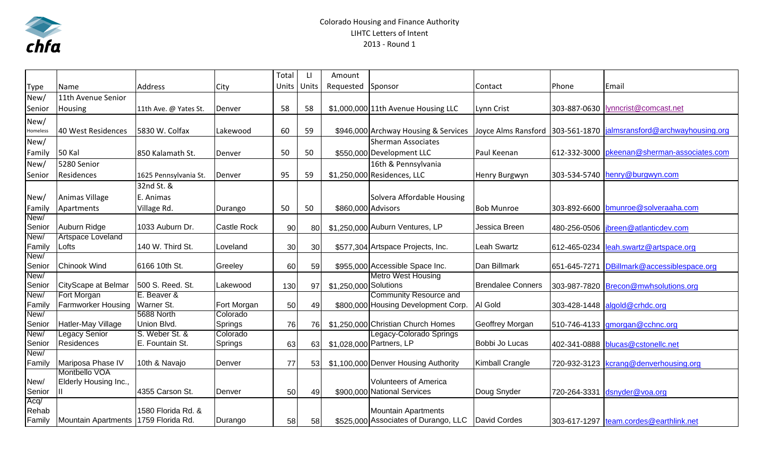

## Colorado Housing and Finance Authority LIHTC Letters of Intent 2013 ‐ Round 1

|                |                                        |                               |                     | Total | LI            | Amount                |                                                               |                          |              |                                        |
|----------------|----------------------------------------|-------------------------------|---------------------|-------|---------------|-----------------------|---------------------------------------------------------------|--------------------------|--------------|----------------------------------------|
| <b>Type</b>    | <b>Name</b>                            | Address                       | City                |       | Units   Units | Requested Sponsor     |                                                               | Contact                  | Phone        | Email                                  |
| New/           | 11th Avenue Senior                     |                               |                     |       |               |                       |                                                               |                          |              |                                        |
| Senior         | Housing                                | 11th Ave. @ Yates St.         | Denver              | 58    | 58            |                       | \$1,000,000 11th Avenue Housing LLC                           | Lynn Crist               | 303-887-0630 | lynncrist@comcast.net                  |
| New/           |                                        |                               |                     |       |               |                       |                                                               |                          |              |                                        |
| Homeless       | 40 West Residences                     | 5830 W. Colfax                | Lakewood            | 60    | 59            |                       | \$946,000 Archway Housing & Services                          | Joyce Alms Ransford      | 303-561-1870 | jalmsransford@archwayhousing.org       |
| New/           |                                        |                               |                     |       |               |                       | <b>Sherman Associates</b>                                     |                          |              |                                        |
| Family         | <b>50 Kal</b>                          | 850 Kalamath St.              | Denver              | 50    | 50            |                       | \$550,000 Development LLC                                     | Paul Keenan              | 612-332-3000 | pkeenan@sherman-associates.com         |
| New/           | 5280 Senior                            |                               |                     |       |               |                       | 16th & Pennsylvania                                           |                          |              |                                        |
| Senior         | Residences                             | 1625 Pennsylvania St.         | Denver              | 95    | 59            |                       | \$1,250,000 Residences, LLC                                   | Henry Burgwyn            | 303-534-5740 | henry@burgwyn.com                      |
|                |                                        | 32nd St. &                    |                     |       |               |                       |                                                               |                          |              |                                        |
| New/           | Animas Village                         | E. Animas                     |                     |       |               |                       | Solvera Affordable Housing                                    |                          |              |                                        |
| Family         | Apartments                             | Village Rd.                   | Durango             | 50    | 50            | \$860,000 Advisors    |                                                               | <b>Bob Munroe</b>        | 303-892-6600 | bmunroe@solveraaha.com                 |
| New/           |                                        |                               |                     |       |               |                       |                                                               |                          |              |                                        |
| Senior         | Auburn Ridge                           | 1033 Auburn Dr.               | <b>Castle Rock</b>  | 90    | 80            |                       | \$1,250,000 Auburn Ventures, LP                               | Jessica Breen            | 480-256-0506 | jbreen@atlanticdev.com                 |
| New/           | Artspace Loveland                      |                               |                     |       |               |                       |                                                               |                          |              |                                        |
| Family         | Lofts                                  | 140 W. Third St.              | Loveland            | 30    | 30            |                       | \$577,304 Artspace Projects, Inc.                             | Leah Swartz              | 612-465-0234 | leah.swartz@artspace.org               |
| New/           |                                        |                               |                     |       |               |                       |                                                               |                          |              |                                        |
| Senior         | <b>Chinook Wind</b>                    | 6166 10th St.                 | Greeley             | 60    | 59            |                       | \$955,000 Accessible Space Inc.                               | Dan Billmark             | 651-645-7271 | DBillmark@accessiblespace.org          |
| New/           |                                        |                               |                     |       |               |                       | <b>Metro West Housing</b>                                     |                          |              |                                        |
| Senior         | CityScape at Belmar                    | 500 S. Reed. St.              | Lakewood            | 130   | 97            | \$1,250,000 Solutions |                                                               | <b>Brendalee Conners</b> |              | 303-987-7820 Brecon@mwhsolutions.org   |
| New/           | Fort Morgan                            | E. Beaver &                   |                     |       |               |                       | <b>Community Resource and</b>                                 |                          |              |                                        |
| Family         | <b>Farmworker Housing</b>              | Warner St.                    | Fort Morgan         | 50    | 49            |                       | \$800,000 Housing Development Corp.                           | Al Gold                  |              | 303-428-1448 algold@crhdc.org          |
| New/           |                                        | 5688 North                    | Colorado            |       |               |                       |                                                               |                          |              |                                        |
| Senior<br>New/ | Hatler-May Village<br>Legacy Senior    | Union Blvd.<br>S. Weber St. & | Springs<br>Colorado | 76    | 76            |                       | \$1,250,000 Christian Church Homes<br>Legacy-Colorado Springs | Geoffrey Morgan          | 510-746-4133 | gmorgan@cchnc.org                      |
| Senior         | <b>Residences</b>                      | E. Fountain St.               | Springs             | 63    | 63            |                       | \$1,028,000 Partners, LP                                      | Bobbi Jo Lucas           | 402-341-0888 | blucas@cstonellc.net                   |
| New/           |                                        |                               |                     |       |               |                       |                                                               |                          |              |                                        |
| Family         | Mariposa Phase IV                      | 10th & Navajo                 | Denver              | 77    | 53            |                       | \$1,100,000 Denver Housing Authority                          | <b>Kimball Crangle</b>   | 720-932-3123 | kcrang@denverhousing.org               |
|                | Montbello VOA                          |                               |                     |       |               |                       |                                                               |                          |              |                                        |
| New/           | Elderly Housing Inc.,                  |                               |                     |       |               |                       | <b>Volunteers of America</b>                                  |                          |              |                                        |
| Senior         |                                        | 4355 Carson St.               | Denver              | 50    | 49            |                       | \$900,000 National Services                                   | Doug Snyder              |              | 720-264-3331 dsnyder@voa.org           |
| Acq/           |                                        |                               |                     |       |               |                       |                                                               |                          |              |                                        |
| Rehab          |                                        | 1580 Florida Rd. &            |                     |       |               |                       | <b>Mountain Apartments</b>                                    |                          |              |                                        |
| Family         | Mountain Apartments   1759 Florida Rd. |                               | Durango             | 58    | 58            |                       | \$525,000 Associates of Durango, LLC                          | David Cordes             |              | 303-617-1297 team.cordes@earthlink.net |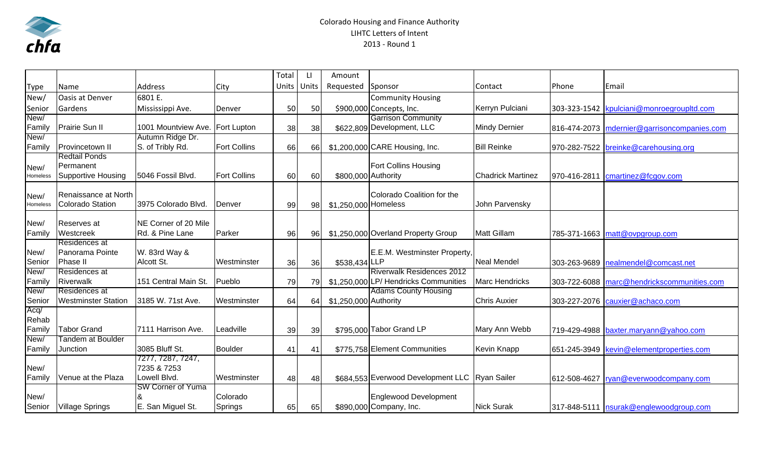

## Colorado Housing and Finance Authority LIHTC Letters of Intent 2013 ‐ Round 1

|             |                                                 |                                  |                     | Total | LI    | Amount                |                                                  |                          |              |                                            |
|-------------|-------------------------------------------------|----------------------------------|---------------------|-------|-------|-----------------------|--------------------------------------------------|--------------------------|--------------|--------------------------------------------|
| <b>Type</b> | Name                                            | <b>Address</b>                   | City                | Units | Units | Requested             | Sponsor                                          | Contact                  | Phone        | Email                                      |
| New/        | <b>Oasis at Denver</b>                          | 6801 E.                          |                     |       |       |                       | <b>Community Housing</b>                         |                          |              |                                            |
| Senior      | Gardens                                         | Mississippi Ave.                 | Denver              | 50    | 50    |                       | \$900,000 Concepts, Inc.                         | Kerryn Pulciani          |              | 303-323-1542 kpulciani@monroegroupltd.com  |
| New/        |                                                 |                                  |                     |       |       |                       | <b>Garrison Community</b>                        |                          |              |                                            |
| Family      | <b>Prairie Sun II</b>                           | 1001 Mountview Ave.              | <b>Fort Lupton</b>  | 38    | 38    |                       | \$622,809 Development, LLC                       | <b>Mindy Dernier</b>     | 816-474-2073 | mdernier@garrisoncompanies.com             |
| New/        |                                                 | Autumn Ridge Dr.                 |                     |       |       |                       |                                                  |                          |              |                                            |
| Family      | Provincetown II                                 | S. of Tribly Rd.                 | <b>Fort Collins</b> | 66    | 66    |                       | \$1,200,000 CARE Housing, Inc.                   | <b>Bill Reinke</b>       | 970-282-7522 | breinke@carehousing.org                    |
|             | <b>Redtail Ponds</b>                            |                                  |                     |       |       |                       |                                                  |                          |              |                                            |
| New/        | Permanent                                       |                                  |                     |       |       |                       | Fort Collins Housing                             |                          |              |                                            |
| Homeless    | Supportive Housing                              | 5046 Fossil Blvd.                | <b>Fort Collins</b> | 60    | 60    | \$800,000 Authority   |                                                  | <b>Chadrick Martinez</b> | 970-416-2811 | cmartinez@fcgov.com                        |
|             |                                                 |                                  |                     |       |       |                       |                                                  |                          |              |                                            |
| New/        | Renaissance at North<br><b>Colorado Station</b> | 3975 Colorado Blvd.              | Denver              |       |       |                       | Colorado Coalition for the                       | John Parvensky           |              |                                            |
| Homeless    |                                                 |                                  |                     | 99    | 98    | \$1,250,000 Homeless  |                                                  |                          |              |                                            |
| New/        | Reserves at                                     | NE Corner of 20 Mile             |                     |       |       |                       |                                                  |                          |              |                                            |
| Family      | Westcreek                                       | Rd. & Pine Lane                  | Parker              | 96    | 96    |                       | \$1,250,000 Overland Property Group              | Matt Gillam              |              | 785-371-1663 matt@ovpgroup.com             |
|             | Residences at                                   |                                  |                     |       |       |                       |                                                  |                          |              |                                            |
| New/        | Panorama Pointe                                 | W. 83rd Way &                    |                     |       |       |                       | E.E.M. Westminster Property,                     |                          |              |                                            |
| Senior      | Phase II                                        | Alcott St.                       | Westminster         | 36    | 36    | \$538,434 LLP         |                                                  | Neal Mendel              | 303-263-9689 | nealmendel@comcast.net                     |
| New/        | Residences at                                   |                                  |                     |       |       |                       | <b>Riverwalk Residences 2012</b>                 |                          |              |                                            |
| Family      | Riverwalk                                       | 151 Central Main St.             | Pueblo              | 79    | 79    |                       | \$1,250,000 LP/ Hendricks Communities            | <b>Marc Hendricks</b>    |              | 303-722-6088 marc@hendrickscommunities.com |
| New/        | Residences at                                   |                                  |                     |       |       |                       | <b>Adams County Housing</b>                      |                          |              |                                            |
| Senior      | <b>Westminster Station</b>                      | 3185 W. 71st Ave.                | Westminster         | 64    | 64    | \$1,250,000 Authority |                                                  | <b>Chris Auxier</b>      | 303-227-2076 | cauxier@achaco.com                         |
| Acq/        |                                                 |                                  |                     |       |       |                       |                                                  |                          |              |                                            |
| Rehab       |                                                 |                                  |                     |       |       |                       |                                                  |                          |              |                                            |
| Family      | <b>Tabor Grand</b>                              | 7111 Harrison Ave.               | Leadville           | 39    | 39    |                       | \$795,000 Tabor Grand LP                         | Mary Ann Webb            |              | 719-429-4988 baxter.maryann@yahoo.com      |
| New/        | Tandem at Boulder                               |                                  |                     |       |       |                       |                                                  |                          |              |                                            |
| Family      | Junction                                        | 3085 Bluff St.                   | <b>Boulder</b>      | 41    | 41    |                       | \$775,758 Element Communities                    | <b>Kevin Knapp</b>       | 651-245-3949 | kevin@elementproperties.com                |
| New/        |                                                 | 7277, 7287, 7247,<br>7235 & 7253 |                     |       |       |                       |                                                  |                          |              |                                            |
| Family      | Venue at the Plaza                              | Lowell Blvd.                     | Westminster         | 48    | 48    |                       | \$684,553 Everwood Development LLC   Ryan Sailer |                          |              | 612-508-4627   ryan@everwoodcompany.com    |
|             |                                                 | <b>SW Corner of Yuma</b>         |                     |       |       |                       |                                                  |                          |              |                                            |
| New/        |                                                 |                                  | Colorado            |       |       |                       | <b>Englewood Development</b>                     |                          |              |                                            |
| Senior      | <b>Village Springs</b>                          | E. San Miguel St.                | <b>Springs</b>      | 65    | 65    |                       | \$890,000 Company, Inc.                          | <b>Nick Surak</b>        |              | 317-848-5111   nsurak@englewoodgroup.com   |